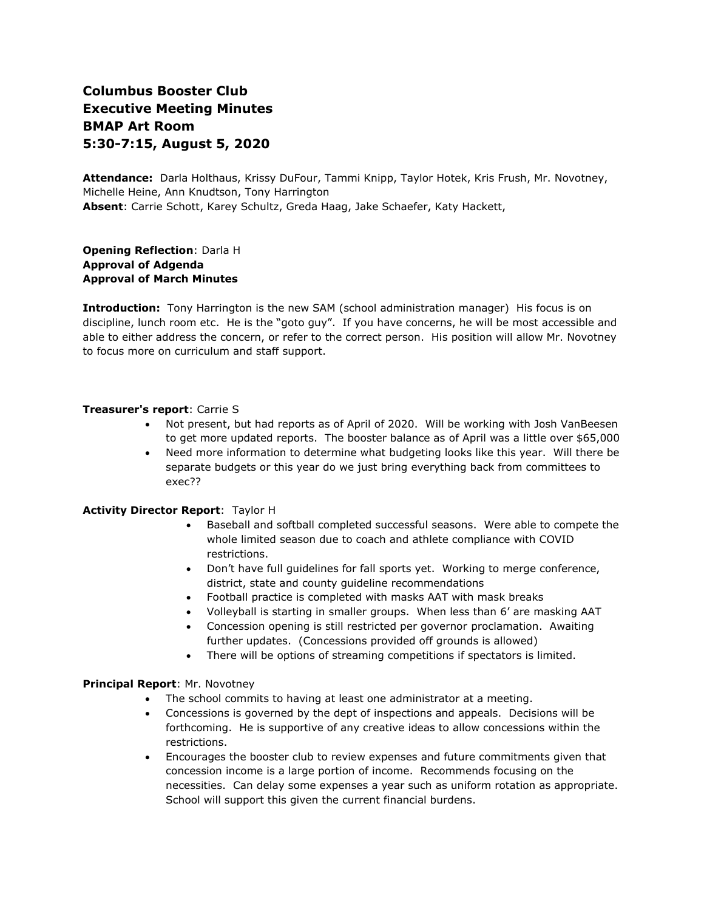# **Columbus Booster Club Executive Meeting Minutes BMAP Art Room 5:30-7:15, August 5, 2020**

**Attendance:** Darla Holthaus, Krissy DuFour, Tammi Knipp, Taylor Hotek, Kris Frush, Mr. Novotney, Michelle Heine, Ann Knudtson, Tony Harrington **Absent**: Carrie Schott, Karey Schultz, Greda Haag, Jake Schaefer, Katy Hackett,

**Opening Reflection**: Darla H **Approval of Adgenda Approval of March Minutes**

**Introduction:** Tony Harrington is the new SAM (school administration manager) His focus is on discipline, lunch room etc. He is the "goto guy". If you have concerns, he will be most accessible and able to either address the concern, or refer to the correct person. His position will allow Mr. Novotney to focus more on curriculum and staff support.

# **Treasurer's report**: Carrie S

- Not present, but had reports as of April of 2020. Will be working with Josh VanBeesen to get more updated reports. The booster balance as of April was a little over \$65,000
- Need more information to determine what budgeting looks like this year. Will there be separate budgets or this year do we just bring everything back from committees to exec??

# **Activity Director Report**: Taylor H

- Baseball and softball completed successful seasons. Were able to compete the whole limited season due to coach and athlete compliance with COVID restrictions.
- Don't have full guidelines for fall sports yet. Working to merge conference, district, state and county guideline recommendations
- Football practice is completed with masks AAT with mask breaks
- Volleyball is starting in smaller groups. When less than 6' are masking AAT
- Concession opening is still restricted per governor proclamation. Awaiting further updates. (Concessions provided off grounds is allowed)
- There will be options of streaming competitions if spectators is limited.

# **Principal Report**: Mr. Novotney

- The school commits to having at least one administrator at a meeting.
- Concessions is governed by the dept of inspections and appeals. Decisions will be forthcoming. He is supportive of any creative ideas to allow concessions within the restrictions.
- Encourages the booster club to review expenses and future commitments given that concession income is a large portion of income. Recommends focusing on the necessities. Can delay some expenses a year such as uniform rotation as appropriate. School will support this given the current financial burdens.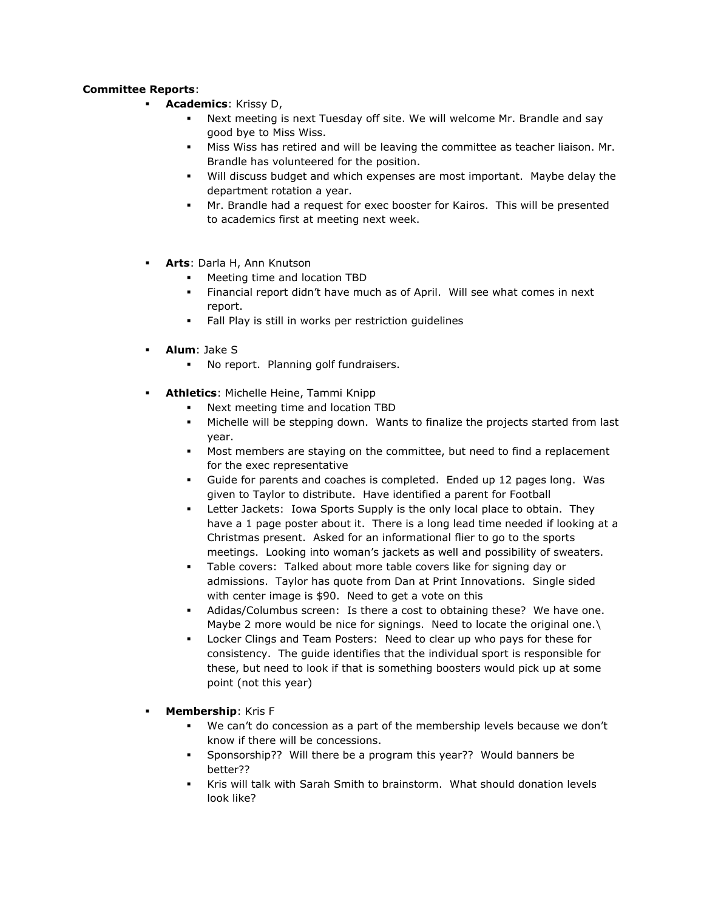# **Committee Reports**:

- **Academics: Krissy D,** 
	- Next meeting is next Tuesday off site. We will welcome Mr. Brandle and say good bye to Miss Wiss.
	- Miss Wiss has retired and will be leaving the committee as teacher liaison. Mr. Brandle has volunteered for the position.
	- Will discuss budget and which expenses are most important. Maybe delay the department rotation a year.
	- Mr. Brandle had a request for exec booster for Kairos. This will be presented to academics first at meeting next week.
- **Arts**: Darla H, Ann Knutson
	- Meeting time and location TBD
	- Financial report didn't have much as of April. Will see what comes in next report.
	- Fall Play is still in works per restriction guidelines
- **Alum**: Jake S
	- No report. Planning golf fundraisers.
- **Athletics**: Michelle Heine, Tammi Knipp
	- Next meeting time and location TBD
	- Michelle will be stepping down. Wants to finalize the projects started from last year.
	- Most members are staying on the committee, but need to find a replacement for the exec representative
	- Guide for parents and coaches is completed. Ended up 12 pages long. Was given to Taylor to distribute. Have identified a parent for Football
	- Letter Jackets: Iowa Sports Supply is the only local place to obtain. They have a 1 page poster about it. There is a long lead time needed if looking at a Christmas present. Asked for an informational flier to go to the sports meetings. Looking into woman's jackets as well and possibility of sweaters.
	- Table covers: Talked about more table covers like for signing day or admissions. Taylor has quote from Dan at Print Innovations. Single sided with center image is \$90. Need to get a vote on this
	- Adidas/Columbus screen: Is there a cost to obtaining these? We have one. Maybe 2 more would be nice for signings. Need to locate the original one.\
	- Locker Clings and Team Posters: Need to clear up who pays for these for consistency. The guide identifies that the individual sport is responsible for these, but need to look if that is something boosters would pick up at some point (not this year)
- **Membership**: Kris F
	- We can't do concession as a part of the membership levels because we don't know if there will be concessions.
	- Sponsorship?? Will there be a program this year?? Would banners be better??
	- Kris will talk with Sarah Smith to brainstorm. What should donation levels look like?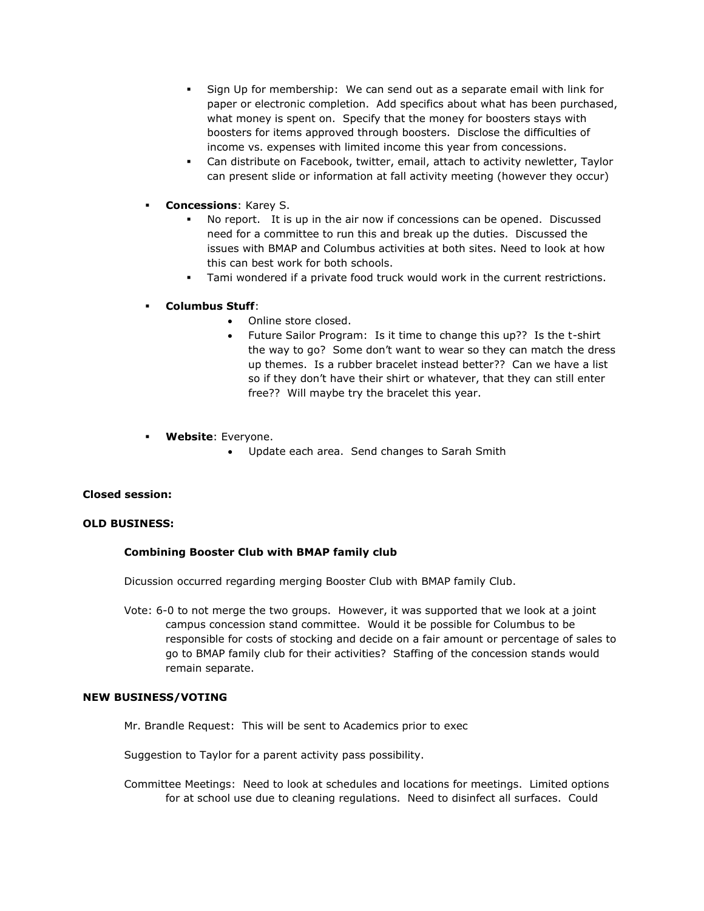- Sign Up for membership: We can send out as a separate email with link for paper or electronic completion. Add specifics about what has been purchased, what money is spent on. Specify that the money for boosters stays with boosters for items approved through boosters. Disclose the difficulties of income vs. expenses with limited income this year from concessions.
- Can distribute on Facebook, twitter, email, attach to activity newletter, Taylor can present slide or information at fall activity meeting (however they occur)
- **Concessions: Karey S.** 
	- No report. It is up in the air now if concessions can be opened. Discussed need for a committee to run this and break up the duties. Discussed the issues with BMAP and Columbus activities at both sites. Need to look at how this can best work for both schools.
	- Tami wondered if a private food truck would work in the current restrictions.

# ▪ **Columbus Stuff**:

- Online store closed.
- Future Sailor Program: Is it time to change this up?? Is the t-shirt the way to go? Some don't want to wear so they can match the dress up themes. Is a rubber bracelet instead better?? Can we have a list so if they don't have their shirt or whatever, that they can still enter free?? Will maybe try the bracelet this year.
- **Website**: Everyone.
	- Update each area. Send changes to Sarah Smith

# **Closed session:**

#### **OLD BUSINESS:**

# **Combining Booster Club with BMAP family club**

Dicussion occurred regarding merging Booster Club with BMAP family Club.

Vote: 6-0 to not merge the two groups. However, it was supported that we look at a joint campus concession stand committee. Would it be possible for Columbus to be responsible for costs of stocking and decide on a fair amount or percentage of sales to go to BMAP family club for their activities? Staffing of the concession stands would remain separate.

#### **NEW BUSINESS/VOTING**

Mr. Brandle Request: This will be sent to Academics prior to exec

Suggestion to Taylor for a parent activity pass possibility.

Committee Meetings: Need to look at schedules and locations for meetings. Limited options for at school use due to cleaning regulations. Need to disinfect all surfaces. Could